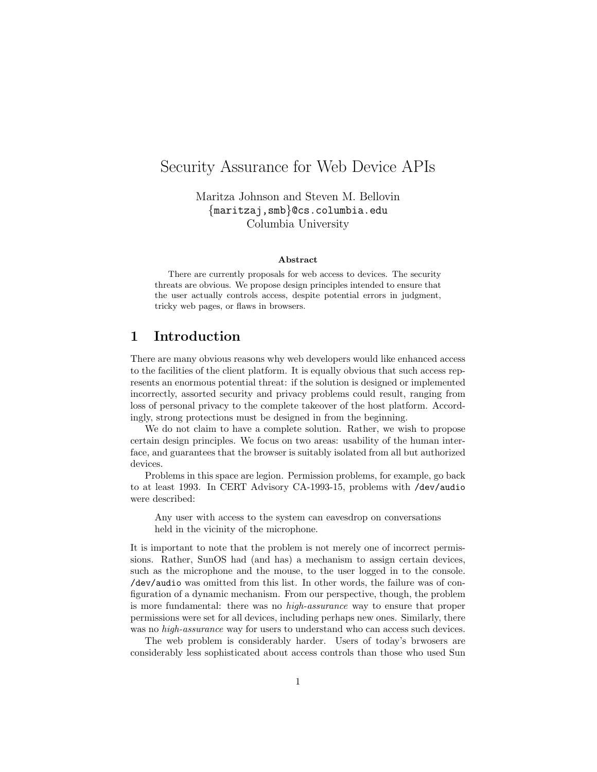# Security Assurance for Web Device APIs

Maritza Johnson and Steven M. Bellovin {maritzaj,smb}@cs.columbia.edu Columbia University

#### Abstract

There are currently proposals for web access to devices. The security threats are obvious. We propose design principles intended to ensure that the user actually controls access, despite potential errors in judgment, tricky web pages, or flaws in browsers.

## 1 Introduction

There are many obvious reasons why web developers would like enhanced access to the facilities of the client platform. It is equally obvious that such access represents an enormous potential threat: if the solution is designed or implemented incorrectly, assorted security and privacy problems could result, ranging from loss of personal privacy to the complete takeover of the host platform. Accordingly, strong protections must be designed in from the beginning.

We do not claim to have a complete solution. Rather, we wish to propose certain design principles. We focus on two areas: usability of the human interface, and guarantees that the browser is suitably isolated from all but authorized devices.

Problems in this space are legion. Permission problems, for example, go back to at least 1993. In CERT Advisory CA-1993-15, problems with /dev/audio were described:

Any user with access to the system can eavesdrop on conversations held in the vicinity of the microphone.

It is important to note that the problem is not merely one of incorrect permissions. Rather, SunOS had (and has) a mechanism to assign certain devices, such as the microphone and the mouse, to the user logged in to the console. /dev/audio was omitted from this list. In other words, the failure was of configuration of a dynamic mechanism. From our perspective, though, the problem is more fundamental: there was no high-assurance way to ensure that proper permissions were set for all devices, including perhaps new ones. Similarly, there was no *high-assurance* way for users to understand who can access such devices.

The web problem is considerably harder. Users of today's brwosers are considerably less sophisticated about access controls than those who used Sun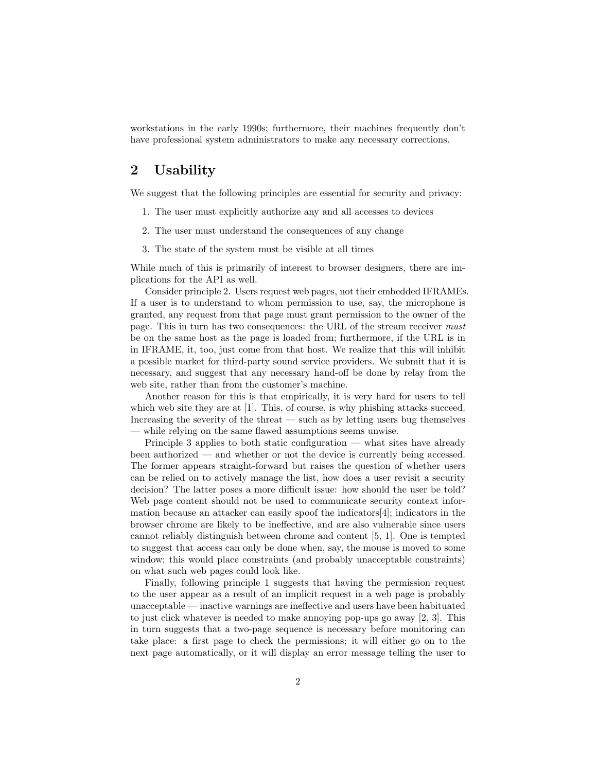workstations in the early 1990s; furthermore, their machines frequently don't have professional system administrators to make any necessary corrections.

# 2 Usability

We suggest that the following principles are essential for security and privacy:

- 1. The user must explicitly authorize any and all accesses to devices
- 2. The user must understand the consequences of any change
- 3. The state of the system must be visible at all times

While much of this is primarily of interest to browser designers, there are implications for the API as well.

Consider principle 2. Users request web pages, not their embedded IFRAMEs. If a user is to understand to whom permission to use, say, the microphone is granted, any request from that page must grant permission to the owner of the page. This in turn has two consequences: the URL of the stream receiver must be on the same host as the page is loaded from; furthermore, if the URL is in in IFRAME, it, too, just come from that host. We realize that this will inhibit a possible market for third-party sound service providers. We submit that it is necessary, and suggest that any necessary hand-off be done by relay from the web site, rather than from the customer's machine.

Another reason for this is that empirically, it is very hard for users to tell which web site they are at [1]. This, of course, is why phishing attacks succeed. Increasing the severity of the threat — such as by letting users bug themselves while relying on the same flawed assumptions seems unwise.

Principle 3 applies to both static configuration — what sites have already been authorized — and whether or not the device is currently being accessed. The former appears straight-forward but raises the question of whether users can be relied on to actively manage the list, how does a user revisit a security decision? The latter poses a more difficult issue: how should the user be told? Web page content should not be used to communicate security context information because an attacker can easily spoof the indicators[4]; indicators in the browser chrome are likely to be ineffective, and are also vulnerable since users cannot reliably distinguish between chrome and content [5, 1]. One is tempted to suggest that access can only be done when, say, the mouse is moved to some window; this would place constraints (and probably unacceptable constraints) on what such web pages could look like.

Finally, following principle 1 suggests that having the permission request to the user appear as a result of an implicit request in a web page is probably unacceptable — inactive warnings are ineffective and users have been habituated to just click whatever is needed to make annoying pop-ups go away [2, 3]. This in turn suggests that a two-page sequence is necessary before monitoring can take place: a first page to check the permissions; it will either go on to the next page automatically, or it will display an error message telling the user to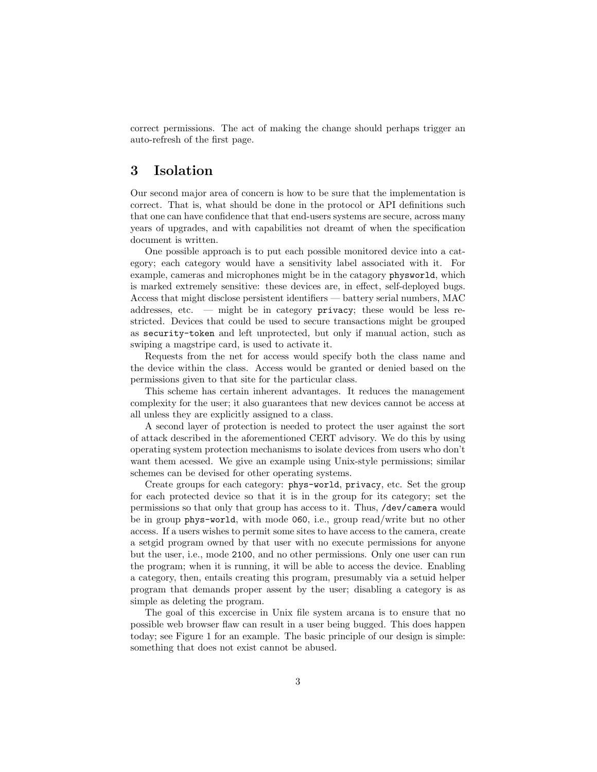correct permissions. The act of making the change should perhaps trigger an auto-refresh of the first page.

## 3 Isolation

Our second major area of concern is how to be sure that the implementation is correct. That is, what should be done in the protocol or API definitions such that one can have confidence that that end-users systems are secure, across many years of upgrades, and with capabilities not dreamt of when the specification document is written.

One possible approach is to put each possible monitored device into a category; each category would have a sensitivity label associated with it. For example, cameras and microphones might be in the catagory physworld, which is marked extremely sensitive: these devices are, in effect, self-deployed bugs. Access that might disclose persistent identifiers — battery serial numbers, MAC addresses, etc.  $-$  might be in category privacy; these would be less restricted. Devices that could be used to secure transactions might be grouped as security-token and left unprotected, but only if manual action, such as swiping a magstripe card, is used to activate it.

Requests from the net for access would specify both the class name and the device within the class. Access would be granted or denied based on the permissions given to that site for the particular class.

This scheme has certain inherent advantages. It reduces the management complexity for the user; it also guarantees that new devices cannot be access at all unless they are explicitly assigned to a class.

A second layer of protection is needed to protect the user against the sort of attack described in the aforementioned CERT advisory. We do this by using operating system protection mechanisms to isolate devices from users who don't want them acessed. We give an example using Unix-style permissions; similar schemes can be devised for other operating systems.

Create groups for each category: phys-world, privacy, etc. Set the group for each protected device so that it is in the group for its category; set the permissions so that only that group has access to it. Thus, /dev/camera would be in group phys-world, with mode 060, i.e., group read/write but no other access. If a users wishes to permit some sites to have access to the camera, create a setgid program owned by that user with no execute permissions for anyone but the user, i.e., mode 2100, and no other permissions. Only one user can run the program; when it is running, it will be able to access the device. Enabling a category, then, entails creating this program, presumably via a setuid helper program that demands proper assent by the user; disabling a category is as simple as deleting the program.

The goal of this excercise in Unix file system arcana is to ensure that no possible web browser flaw can result in a user being bugged. This does happen today; see Figure 1 for an example. The basic principle of our design is simple: something that does not exist cannot be abused.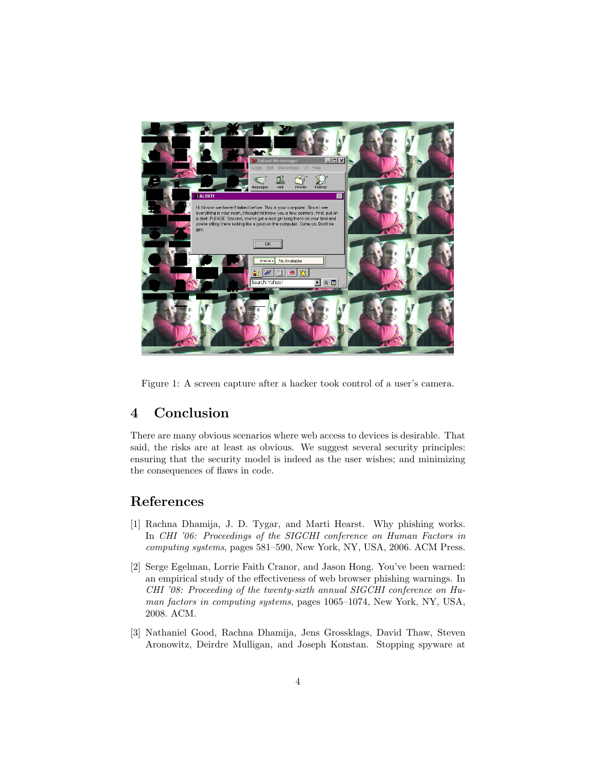

Figure 1: A screen capture after a hacker took control of a user's camera.

#### 4 Conclusion

There are many obvious scenarios where web access to devices is desirable. That said, the risks are at least as obvious. We suggest several security principles: ensuring that the security model is indeed as the user wishes; and minimizing the consequences of flaws in code.

# References

- [1] Rachna Dhamija, J. D. Tygar, and Marti Hearst. Why phishing works. In CHI '06: Proceedings of the SIGCHI conference on Human Factors in computing systems, pages 581–590, New York, NY, USA, 2006. ACM Press.
- [2] Serge Egelman, Lorrie Faith Cranor, and Jason Hong. You've been warned: an empirical study of the effectiveness of web browser phishing warnings. In CHI '08: Proceeding of the twenty-sixth annual SIGCHI conference on Human factors in computing systems, pages 1065–1074, New York, NY, USA, 2008. ACM.
- [3] Nathaniel Good, Rachna Dhamija, Jens Grossklags, David Thaw, Steven Aronowitz, Deirdre Mulligan, and Joseph Konstan. Stopping spyware at